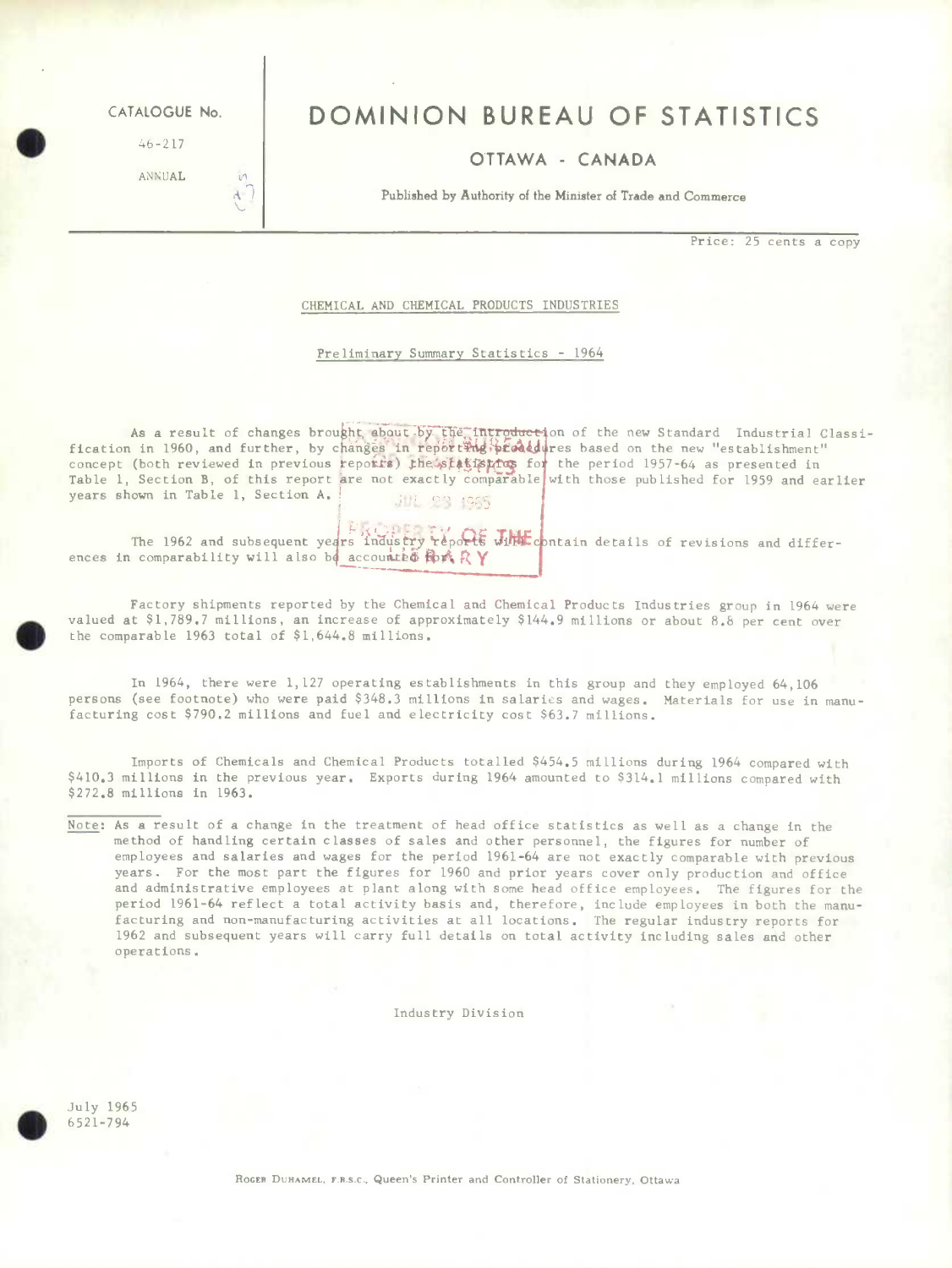**S** 46-217

ANNUAL

 $\mathcal{A}$ 

# CATALOGUE No. **DOMINION BUREAU OF STATISTICS**

## OTTAWA - CANADA

**Published by Authority of the Minister of Trade and Commerce** 

**Price:** 25 cents a copy

#### CHEMICAL AND CHEMICAL PRODUCTS INDUSTRIES

### Preliminary Summary Statistics - 1964

As a result of changes brought about by the introduction of the new Standard Industrial Classi-<br>fication in 1960, and further, by changes in reporting prodedures based on the new "establishment" concept (both reviewed in previous reports) the statisting for the period 1957-64 as presented in Table 1, Section B, of this report are not exactly comparable with those published for 1959 and earlier years shown in Table 1, Section A. JUL 23 1965

The 1962 and subsequent years industry reports  $J_1$ HH contain details of revisions and differences in comparability will also be accounted for  $\mathbb{R} Y$ 

Factory shipments reported by the Chemical and Chemical Products Industries group in 1964 were valued at \$1,789.7 millions, an increase of approximately \$144.9 millions or about 8.8 per cent over the comparable 1963 total of \$1,644.8 millions.

In 1964, there were 1,127 operating establishments in this group and they employed 64,106 persons (see footnote) who were paid \$348.3 millions in salaries and wages. Materials for use in manufacturing cost \$790.2 millions and fuel and electricity cost \$63.7 millions.

Imports of Chemicals and Chemical Products totalled \$454.5 millions during 1964 compared with \$410.3 millions in the previous year. Exports during 1964 amounted to \$314.1 millions compared with \$272.8 millions in 1963.

Note: As a result of a change in the treatment of head office statistics as well as a change in the method of handling certain classes of sales and other personnel, the figures for number of employees and salaries and wages for the period 1961-64 are not exactly comparable with previous years. For the most part the figures for 1960 and prior years cover only production and office and administrative employees at plant along with some head office employees. The figures for the period 1961-64 reflect a total activity basis and, therefore, include employees in both the manufacturing and mon-manufacturing activities at all locations. The regular industry reports for 1962 and subsequent years will carry full details on total activity including sales and other operations.

Industry Division

July 1965 **5** 6521-794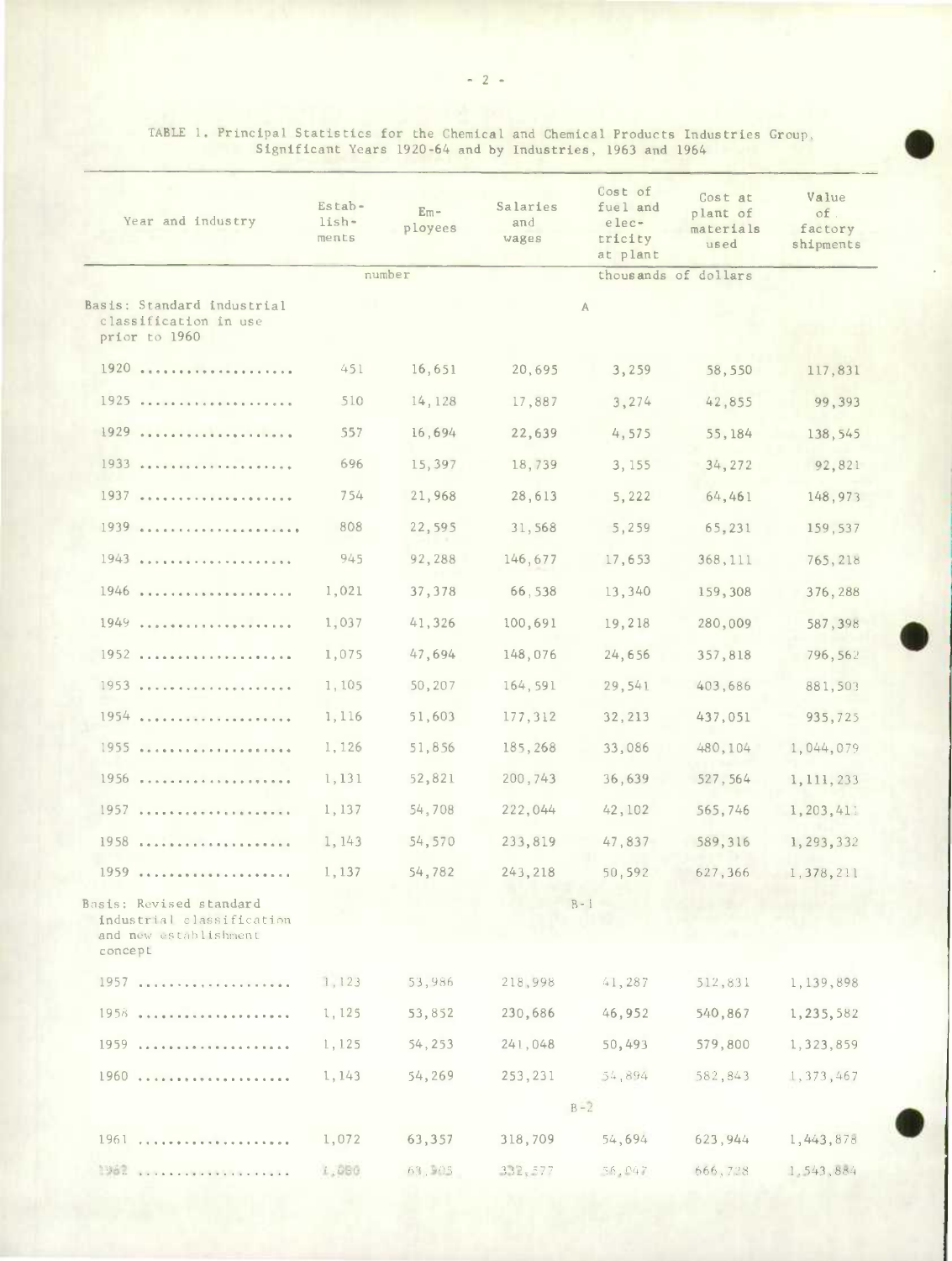| Year and industry                                                                        | Estab-<br>lish-<br>ments | $Em -$<br>ployees | Salaries<br>and<br>wages | Cost of<br>fuel and<br>elec-<br>tricity<br>at plant | Cost at<br>plant of<br>materials<br>used | Value<br>of.<br>factory<br>shipments |
|------------------------------------------------------------------------------------------|--------------------------|-------------------|--------------------------|-----------------------------------------------------|------------------------------------------|--------------------------------------|
|                                                                                          | number                   |                   | thousands of dollars     |                                                     |                                          |                                      |
| Basis: Standard industrial<br>classification in use<br>prior to 1960                     |                          |                   |                          | A                                                   |                                          |                                      |
| $1920$                                                                                   | 451                      | 16,651            | 20,695                   | 3,259                                               | 58,550                                   | 117,831                              |
| 1925                                                                                     | 510                      | 14,128            | 17,887                   | 3,274                                               | 42,855                                   | 99,393                               |
| 1929                                                                                     | 557                      | 16,694            | 22,639                   | 4,575                                               | 55,184                                   | 138,545                              |
| 1933                                                                                     | 696                      | 15,397            | 18,739                   | 3, 155                                              | 34, 272                                  | 92,821                               |
| 1937                                                                                     | 754                      | 21,968            | 28,613                   | 5,222                                               | 64,461                                   | 148,973                              |
| 1939                                                                                     | 808                      | 22,595            | 31,568                   | 5,259                                               | 65,231                                   | 159,537                              |
| 1943                                                                                     | 945                      | 92,288            | 146,677                  | 17,653                                              | 368,111                                  | 765,218                              |
| 1946                                                                                     | 1,021                    | 37, 378           | 66,538                   | 13,340                                              | 159,308                                  | 376,288                              |
| 1949                                                                                     | 1,037                    | 41,326            | 100,691                  | 19,218                                              | 280,009                                  | 587,398                              |
| 1952                                                                                     | 1,075                    | 47,694            | 148,076                  | 24,656                                              | 357,818                                  | 796, 562                             |
| 1953                                                                                     | 1,105                    | 50,207            | 164,591                  | 29,541                                              | 403,686                                  | 881,503                              |
| 1954                                                                                     | 1,116                    | 51,603            | 177,312                  | 32, 213                                             | 437,051                                  | 935,725                              |
| 1955                                                                                     | 1,126                    | 51,856            | 185,268                  | 33,086                                              | 480,104                                  | 1,044,079                            |
| 1956                                                                                     | 1,131                    | 52,821            | 200,743                  | 36,639                                              | 527, 564                                 | 1, 111, 233                          |
| 1957                                                                                     | 1,137                    | 54,708            | 222,044                  | 42,102                                              | 565,746                                  | 1,203,411                            |
| $1958$                                                                                   | 1, 143                   | 54,570            | 233,819                  | 47,837                                              | 589,316                                  | 1, 293, 332                          |
| 1959                                                                                     | 1,137                    | 54,782            | 243, 218                 | 50,592                                              | 627,366                                  | 1,378,211                            |
| Basis: Revised standard<br>industrial classification<br>and new establishment<br>concept |                          |                   |                          | $B - 1$                                             |                                          |                                      |
|                                                                                          | 1,123                    | 53,986            | 218,998                  | 41,287                                              | 512,831                                  | 1,139,898                            |
| 1958                                                                                     | 1,125                    | 53,852            | 230,686                  | 46,952                                              | 540,867                                  | 1,235,582                            |
|                                                                                          | 1,125                    | 54,253            | 241,048                  | 50,493                                              | 579,800                                  | 1,323,859                            |
|                                                                                          | 1,143                    | 54,269            | 253, 231                 | 54,894                                              | 582,843                                  | 1,373,467                            |
|                                                                                          |                          |                   |                          | $B - 2$                                             |                                          |                                      |
| 1961                                                                                     | 1,072                    | 63,357            | 318,709                  | 54,694                                              | 623, 944                                 | 1,443,878                            |
|                                                                                          | 1,080                    | 63,905            | 332,577                  | 56.047                                              | 666,728                                  | 1.543,884                            |

TABLE 1. Principal Statistics for the Chemical and Chemical Products Industries Group, Significant Years 1920-64 and by Industries, 1963 and 1964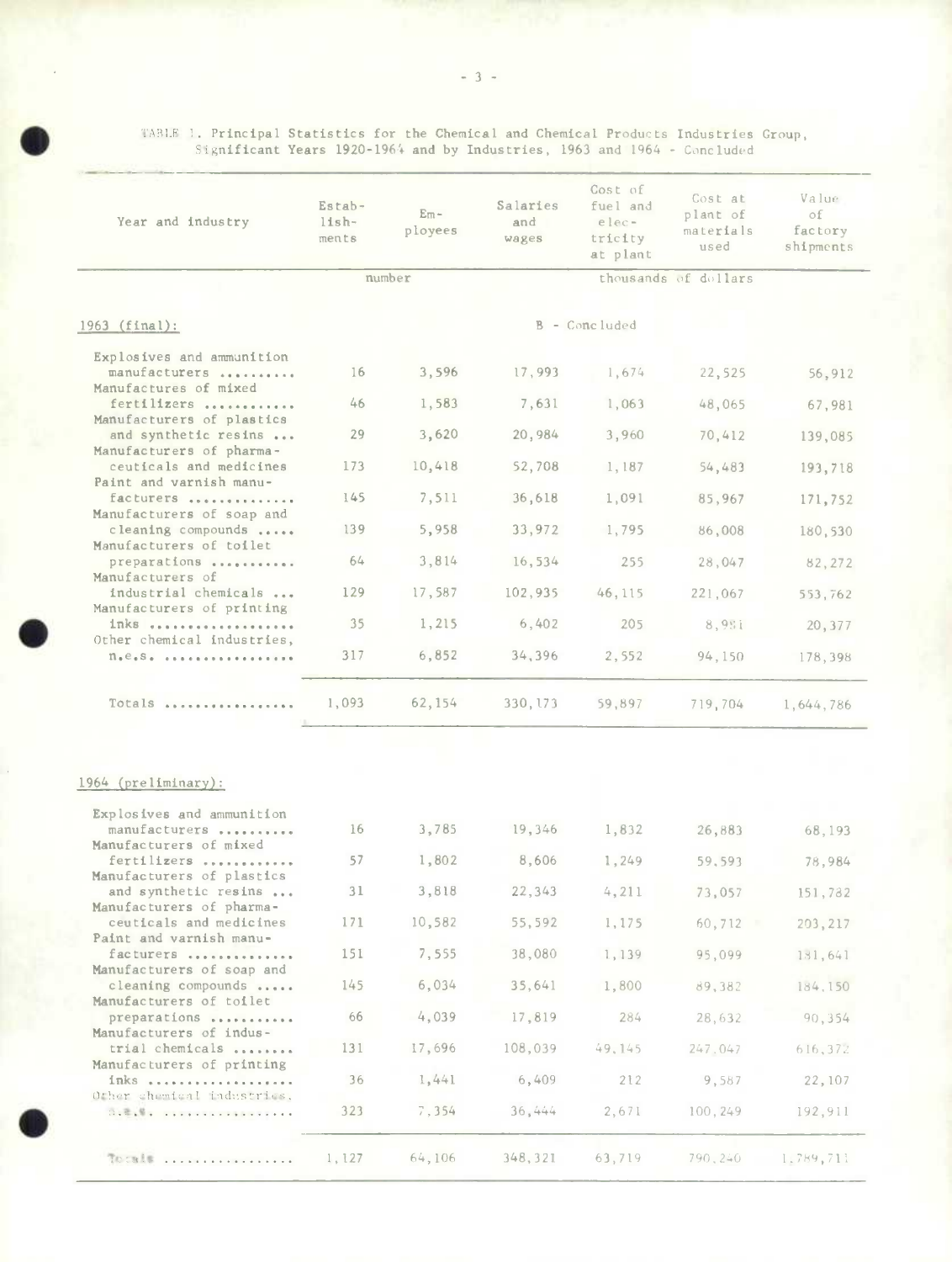|                                                                                                                                                                                                                                                                         |                            |                          | Significant Years 1920-1964 and by Industries, 1963 and 1964 - Concluded |                                                     |                                          |                                     |
|-------------------------------------------------------------------------------------------------------------------------------------------------------------------------------------------------------------------------------------------------------------------------|----------------------------|--------------------------|--------------------------------------------------------------------------|-----------------------------------------------------|------------------------------------------|-------------------------------------|
| Year and industry                                                                                                                                                                                                                                                       | Estab-<br>$lish-$<br>ments | $E_{\rm m}$ –<br>ployees | Salaries<br>and<br>wages                                                 | Cost of<br>fuel and<br>elec-<br>tricity<br>at plant | Cost at<br>plant of<br>materials<br>used | Value<br>of<br>factory<br>shipments |
|                                                                                                                                                                                                                                                                         |                            | number                   |                                                                          |                                                     | thousands of dollars                     |                                     |
| 1963 (final):                                                                                                                                                                                                                                                           |                            |                          |                                                                          | B - Concluded                                       |                                          |                                     |
| Explosives and ammunition                                                                                                                                                                                                                                               |                            |                          |                                                                          |                                                     |                                          |                                     |
| manufacturers<br>Manufactures of mixed                                                                                                                                                                                                                                  | 16                         | 3,596                    | 17,993                                                                   | 1,674                                               | 22,525                                   | 56,912                              |
| fertilizers<br>Manufacturers of plastics                                                                                                                                                                                                                                | 46                         | 1,583                    | 7,631                                                                    | 1,063                                               | 48,065                                   | 67,981                              |
| and synthetic resins                                                                                                                                                                                                                                                    | 29                         | 3,620                    | 20,984                                                                   | 3,960                                               | 70,412                                   | 139,085                             |
| Manufacturers of pharma-<br>ceuticals and medicines                                                                                                                                                                                                                     | 173                        | 10,418                   | 52,708                                                                   | 1,187                                               | 54,483                                   | 193,718                             |
| Paint and varnish manu-<br>facturers                                                                                                                                                                                                                                    | 145                        | 7,511                    | 36,618                                                                   | 1,091                                               | 85,967                                   | 171,752                             |
| Manufacturers of soap and<br>cleaning compounds                                                                                                                                                                                                                         | 139                        | 5,958                    | 33,972                                                                   | 1,795                                               | 86,008                                   | 180,530                             |
| Manufacturers of toilet<br>preparations                                                                                                                                                                                                                                 | 64                         | 3,814                    | 16,534                                                                   | 255                                                 | 28,047                                   | 82,272                              |
| Manufacturers of<br>industrial chemicals                                                                                                                                                                                                                                | 129                        | 17,587                   | 102,935                                                                  | 46,115                                              | 221,067                                  | 553,762                             |
| Manufacturers of printing<br>inks                                                                                                                                                                                                                                       | 35                         | 1,215                    | 6,402                                                                    | 205                                                 | 8,951                                    | 20,377                              |
| Other chemical industries,<br>$n_{\bullet}e_{\bullet}s_{\bullet}$                                                                                                                                                                                                       | 317                        | 6,852                    | 34,396                                                                   | 2,552                                               | 94,150                                   | 178,398                             |
|                                                                                                                                                                                                                                                                         |                            |                          |                                                                          |                                                     |                                          |                                     |
| Totals                                                                                                                                                                                                                                                                  | 1,093                      | 62,154                   | 330, 173                                                                 | 59,897                                              | 719,704                                  | 1,644,786                           |
|                                                                                                                                                                                                                                                                         |                            |                          |                                                                          |                                                     |                                          |                                     |
| 1964 (preliminary):                                                                                                                                                                                                                                                     |                            |                          |                                                                          |                                                     |                                          |                                     |
| Explosives and ammunition<br>manufacturers                                                                                                                                                                                                                              | 16                         | 3,785                    | 19,346                                                                   | 1,832                                               | 26,883                                   |                                     |
| Manufacturers of mixed                                                                                                                                                                                                                                                  |                            |                          |                                                                          |                                                     |                                          | 68,193                              |
| fertilizers<br>Manufacturers of plastics                                                                                                                                                                                                                                | 57                         | 1,802                    | 8,606                                                                    | 1,249                                               | 59,593                                   | 78,984                              |
| and synthetic resins<br>Manufacturers of pharma-                                                                                                                                                                                                                        | 31                         | 3,818                    | 22,343                                                                   | 4,211                                               | 73,057                                   | 151,782                             |
| ceuticals and medicines<br>Paint and varnish manu-                                                                                                                                                                                                                      | 171                        | 10,582                   | 55,592                                                                   | 1,175                                               | 60,712                                   | 203, 217                            |
| facturers<br>Manufacturers of soap and                                                                                                                                                                                                                                  | 151                        | 7,555                    | 38,080                                                                   | 1,139                                               | 95,099                                   | 131,641                             |
| cleaning compounds<br>Manufacturers of toilet                                                                                                                                                                                                                           | 145                        | 6,034                    | 35,641                                                                   | 1,800                                               | 89,382                                   | 184,150                             |
| preparations                                                                                                                                                                                                                                                            | 66                         | 4,039                    | 17,819                                                                   | 284                                                 | 28,632                                   | 90,354                              |
| Manufacturers of indus-<br>trial chemicals                                                                                                                                                                                                                              | 131                        | 17,696                   | 108,039                                                                  | 49, 145                                             | 247.047                                  | 616,372                             |
| Manufacturers of printing<br>inks                                                                                                                                                                                                                                       | 36                         | 1,441                    | 6,409                                                                    | 212                                                 | 9,587                                    | 22, 107                             |
| Other chemical industries.<br>$\mathbb{C}$ , $\mathbb{C}$ , $\mathbb{C}$ , and a set of the set of the set of the set of the set of the set of the set of the set of the set of the set of the set of the set of the set of the set of the set of the set of the set of | 323                        | 7,354                    | 36,444                                                                   | 2,671                                               | 100, 249                                 | 192,911                             |
|                                                                                                                                                                                                                                                                         |                            |                          |                                                                          |                                                     |                                          |                                     |
| Totals                                                                                                                                                                                                                                                                  | 1,127                      | 64,106                   | 348,321                                                                  | 63,719                                              | 790,240                                  | 1.789,711                           |